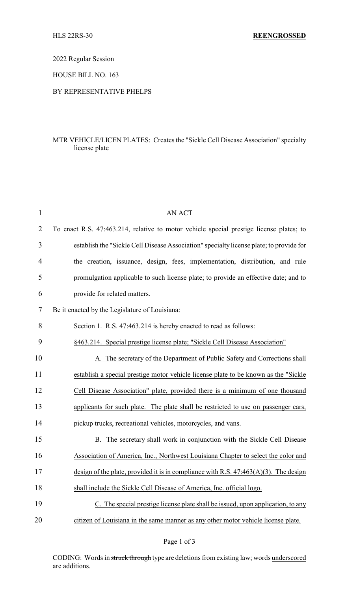2022 Regular Session

HOUSE BILL NO. 163

## BY REPRESENTATIVE PHELPS

## MTR VEHICLE/LICEN PLATES: Creates the "Sickle Cell Disease Association" specialty license plate

| 1              | <b>AN ACT</b>                                                                           |
|----------------|-----------------------------------------------------------------------------------------|
| $\overline{2}$ | To enact R.S. 47:463.214, relative to motor vehicle special prestige license plates; to |
| 3              | establish the "Sickle Cell Disease Association" specialty license plate; to provide for |
| 4              | the creation, issuance, design, fees, implementation, distribution, and rule            |
| 5              | promulgation applicable to such license plate; to provide an effective date; and to     |
| 6              | provide for related matters.                                                            |
| 7              | Be it enacted by the Legislature of Louisiana:                                          |
| 8              | Section 1. R.S. 47:463.214 is hereby enacted to read as follows:                        |
| 9              | §463.214. Special prestige license plate; "Sickle Cell Disease Association"             |
| 10             | A. The secretary of the Department of Public Safety and Corrections shall               |
| 11             | establish a special prestige motor vehicle license plate to be known as the "Sickle"    |
| 12             | Cell Disease Association" plate, provided there is a minimum of one thousand            |
| 13             | applicants for such plate. The plate shall be restricted to use on passenger cars,      |
| 14             | pickup trucks, recreational vehicles, motorcycles, and vans.                            |
| 15             | The secretary shall work in conjunction with the Sickle Cell Disease<br>В.              |
| 16             | Association of America, Inc., Northwest Louisiana Chapter to select the color and       |
| 17             | design of the plate, provided it is in compliance with R.S. $47:463(A)(3)$ . The design |
| 18             | shall include the Sickle Cell Disease of America, Inc. official logo.                   |
| 19             | C. The special prestige license plate shall be issued, upon application, to any         |
| 20             | citizen of Louisiana in the same manner as any other motor vehicle license plate.       |

Page 1 of 3

CODING: Words in struck through type are deletions from existing law; words underscored are additions.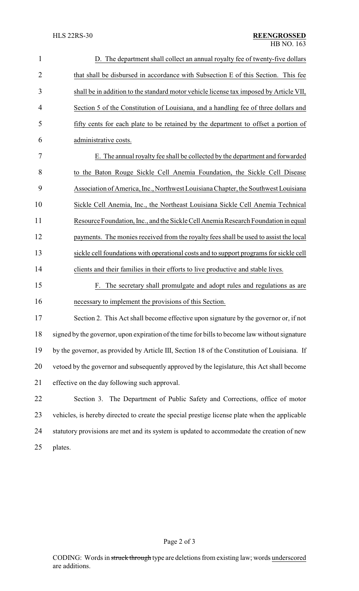| $\mathbf{1}$   | D. The department shall collect an annual royalty fee of twenty-five dollars                  |  |
|----------------|-----------------------------------------------------------------------------------------------|--|
| $\overline{2}$ | that shall be disbursed in accordance with Subsection E of this Section. This fee             |  |
| 3              | shall be in addition to the standard motor vehicle license tax imposed by Article VII,        |  |
| 4              | Section 5 of the Constitution of Louisiana, and a handling fee of three dollars and           |  |
| 5              | fifty cents for each plate to be retained by the department to offset a portion of            |  |
| 6              | administrative costs.                                                                         |  |
| $\tau$         | E. The annual royalty fee shall be collected by the department and forwarded                  |  |
| 8              | to the Baton Rouge Sickle Cell Anemia Foundation, the Sickle Cell Disease                     |  |
| 9              | Association of America, Inc., Northwest Louisiana Chapter, the Southwest Louisiana            |  |
| 10             | Sickle Cell Anemia, Inc., the Northeast Louisiana Sickle Cell Anemia Technical                |  |
| 11             | Resource Foundation, Inc., and the Sickle Cell Anemia Research Foundation in equal            |  |
| 12             | payments. The monies received from the royalty fees shall be used to assist the local         |  |
| 13             | sickle cell foundations with operational costs and to support programs for sickle cell        |  |
| 14             | clients and their families in their efforts to live productive and stable lives.              |  |
| 15             | The secretary shall promulgate and adopt rules and regulations as are<br>F.                   |  |
| 16             | necessary to implement the provisions of this Section.                                        |  |
| 17             | Section 2. This Act shall become effective upon signature by the governor or, if not          |  |
| 18             | signed by the governor, upon expiration of the time for bills to become law without signature |  |
| 19             | by the governor, as provided by Article III, Section 18 of the Constitution of Louisiana. If  |  |
| 20             | vetoed by the governor and subsequently approved by the legislature, this Act shall become    |  |
| 21             | effective on the day following such approval.                                                 |  |
| 22             | Section 3. The Department of Public Safety and Corrections, office of motor                   |  |
| 23             | vehicles, is hereby directed to create the special prestige license plate when the applicable |  |
| 24             | statutory provisions are met and its system is updated to accommodate the creation of new     |  |
| 25             | plates.                                                                                       |  |